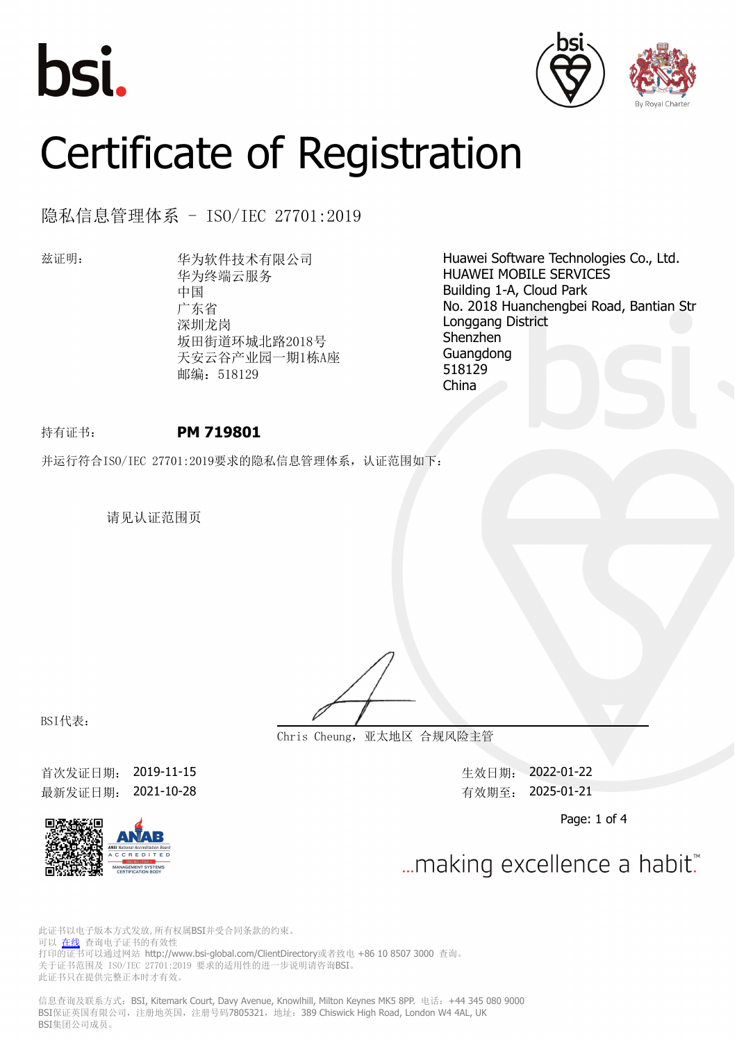





# Certificate of Registration

隐私信息管理体系 - ISO/IEC 27701:2019

兹证明: 华为软件技术有限公司 华为终端云服务 中国 广东省 深圳龙岗 坂田街道环城北路2018号 天安云谷产业园一期1栋A座 邮编: 518129

Huawei Software Technologies Co., Ltd. HUAWEI MOBILE SERVICES Building 1-A, Cloud Park No. 2018 Huanchengbei Road, Bantian Str Longgang District Shenzhen Guangdong 518129 China

## 持有证书: **PM 719801**

并运行符合ISO/IEC 27701:2019要求的隐私信息管理体系,认证范围如下:

请见认证范围页

**Chris Cheung,亚太地区 合规风险主管**

BSI代表:

首次发证日期: 2019-11-15 またのは、このことにはあることをついて、全效日期: 2022-01-22 最新发证日期: 2021-10-28 <br> **最新发证日期: 2021-10-28** 

Page: 1 of 4



... making excellence a habit."

此证书以电子版本方式发放,所有权属BSI并受合同条款的约束。 可以 [在线](https://pgplus.bsigroup.com/CertificateValidation/CertificateValidator.aspx?CertificateNumber=PM+719801&ReIssueDate=28%2f10%2f2021&Template=cn) 查询电子证书的有效性 打印的证书可以通过网站 http://www.bsi-global.com/ClientDirectory或者致电 +86 10 8507 3000 查询。 关于证书范围及 ISO/IEC 27701:2019 要求的适用性的进一步说明请咨询BSI。 此证书只在提供完整正本时才有效。

信息查询及联系方式:BSI, Kitemark Court, Davy Avenue, Knowlhill, Milton Keynes MK5 8PP. 电话:+44 345 080 9000 BSI保证英国有限公司,注册地英国,注册号码7805321,地址: 389 Chiswick High Road, London W4 4AL, UK BSI集团公司成员。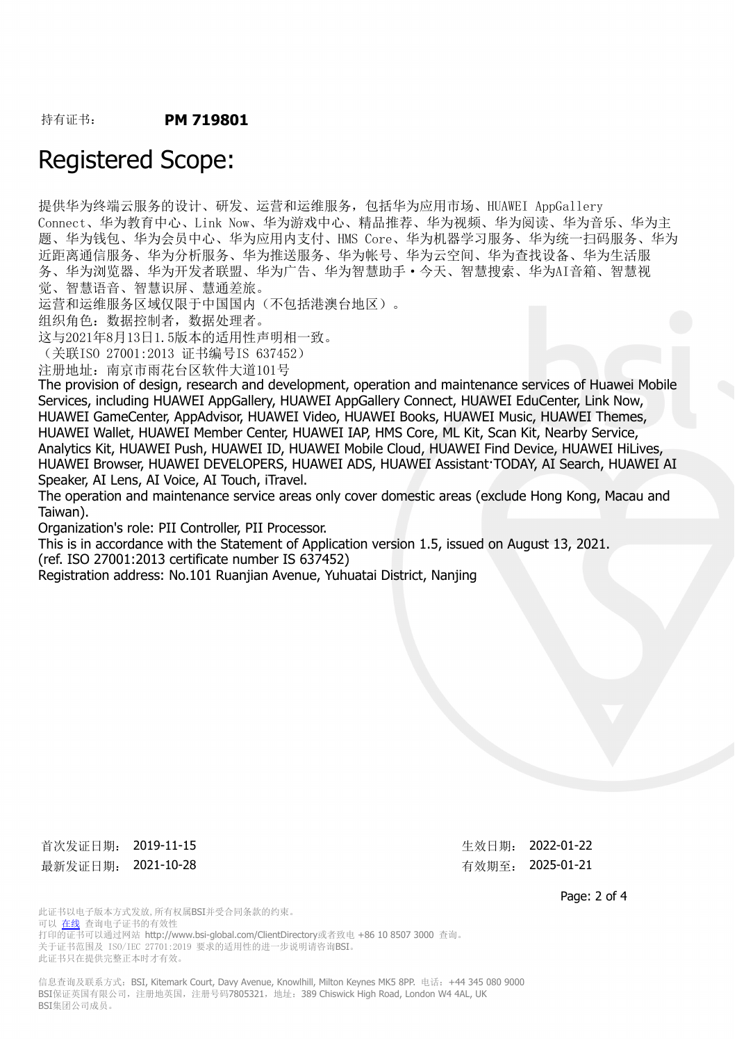## Registered Scope:

提供华为终端云服务的设计、研发、运营和运维服务,包括华为应用市场、HUAWEI AppGallery Connect、华为教育中心、Link Now、华为游戏中心、精品推荐、华为视频、华为阅读、华为音乐、华为主 题、华为钱包、华为会员中心、华为应用内支付、HMS Core、华为机器学习服务、华为统一扫码服务、华为 近距离通信服务、华为分析服务、华为推送服务、华为帐号、华为云空间、华为查找设备、华为生活服 务、华为浏览器、华为开发者联盟、华为广告、华为智慧助手·今天、智慧搜索、华为AI音箱、智慧视 觉、智慧语音、智慧识屏、慧通差旅。

运营和运维服务区域仅限于中国国内(不包括港澳台地区)。

组织角色:数据控制者,数据处理者。

这与2021年8月13日1.5版本的适用性声明相一致。

(关联ISO 27001:2013 证书编号IS 637452)

注册地址:南京市雨花台区软件大道101号

The provision of design, research and development, operation and maintenance services of Huawei Mobile Services, including HUAWEI AppGallery, HUAWEI AppGallery Connect, HUAWEI EduCenter, Link Now, HUAWEI GameCenter, AppAdvisor, HUAWEI Video, HUAWEI Books, HUAWEI Music, HUAWEI Themes, HUAWEI Wallet, HUAWEI Member Center, HUAWEI IAP, HMS Core, ML Kit, Scan Kit, Nearby Service, Analytics Kit, HUAWEI Push, HUAWEI ID, HUAWEI Mobile Cloud, HUAWEI Find Device, HUAWEI HiLives, HUAWEI Browser, HUAWEI DEVELOPERS, HUAWEI ADS, HUAWEI Assistant·TODAY, AI Search, HUAWEI AI Speaker, AI Lens, AI Voice, AI Touch, iTravel.

The operation and maintenance service areas only cover domestic areas (exclude Hong Kong, Macau and Taiwan).

Organization's role: PII Controller, PII Processor.

This is in accordance with the Statement of Application version 1.5, issued on August 13, 2021. (ref. ISO 27001:2013 certificate number IS 637452)

Registration address: No.101 Ruanjian Avenue, Yuhuatai District, Nanjing

首次发证日期: 2019-11-15 または またま または 生效日期: 2022-01-22 最新发证日期: 2021-10-28 わたり おおもの おおし 有效期至: 2025-01-21

Page: 2 of 4

此证书以电子版本方式发放,所有权属BSI并受合同条款的约束。 可以 [在线](https://pgplus.bsigroup.com/CertificateValidation/CertificateValidator.aspx?CertificateNumber=PM+719801&ReIssueDate=28%2f10%2f2021&Template=cn) 查询电子证书的有效性 打印的证书可以通过网站 http://www.bsi-global.com/ClientDirectory或者致电 +86 10 8507 3000 查询。 关于证书范围及 ISO/IEC 27701:2019 要求的适用性的进一步说明请咨询BSI。 此证书只在提供完整正本时才有效。

信息查询及联系方式: BSI, Kitemark Court, Davy Avenue, Knowlhill, Milton Keynes MK5 8PP. 电话: +44 345 080 9000 BSI保证英国有限公司,注册地英国,注册号码7805321,地址: 389 Chiswick High Road, London W4 4AL, UK BSI集团公司成员。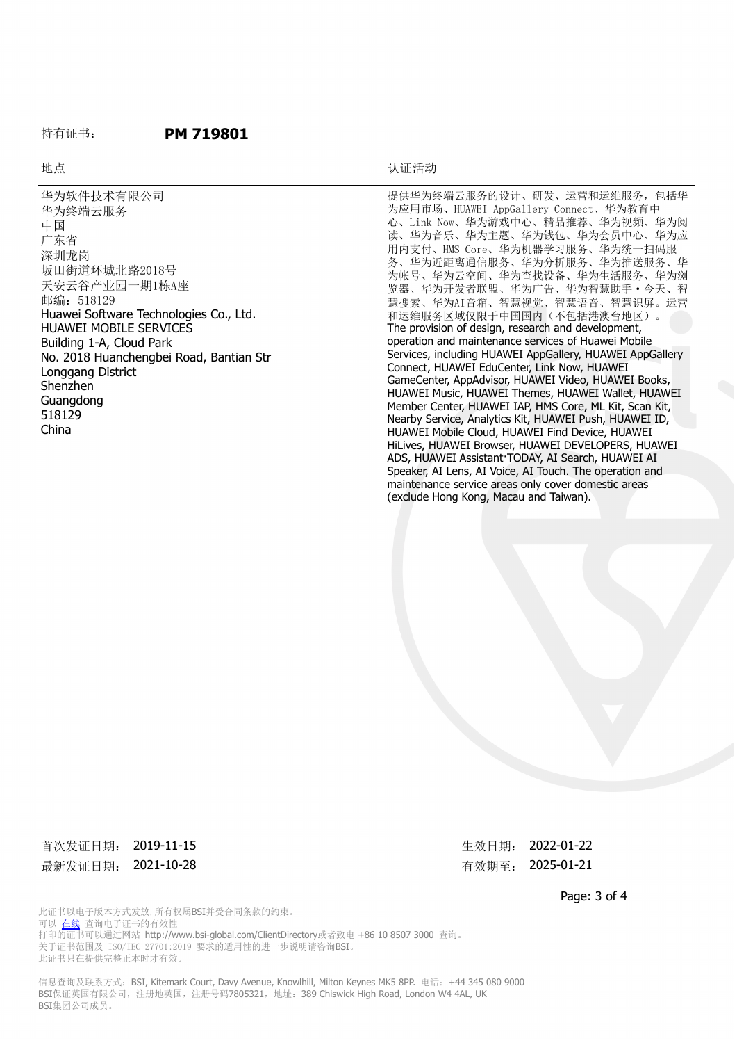#### 持有证书: **PM 719801**

#### 地点 おおおところ しょうしょう しゅうしょう おおおおし しんこうしょう しんこうしょう しんしゅう しゅうしょう しんしゅう しんしゅう しんしゅう しんしゅう しんしゅう しんしゅう しんしゅう しんしゅう しんしゅう

华为软件技术有限公司 华为终端云服务 中国 广东省 深圳龙岗 坂田街道环城北路2018号 天安云谷产业园一期1栋A座 邮编: 518129 Huawei Software Technologies Co., Ltd. HUAWEI MOBILE SERVICES Building 1-A, Cloud Park No. 2018 Huanchengbei Road, Bantian Str Longgang District Shenzhen Guangdong 518129 China

提供华为终端云服务的设计、研发、运营和运维服务,包括华 为应用市场、HUAWEI AppGallery Connect、华为教育中 心、Link Now、华为游戏中心、精品推荐、华为视频、华为阅 读、华为音乐、华为主题、华为钱包、华为会员中心、华为应 用内支付、HMS Core、华为机器学习服务、华为统一扫码服 务、华为近距离通信服务、华为分析服务、华为推送服务、华 为帐号、华为云空间、华为查找设备、华为生活服务、华为浏 览器、华为开发者联盟、华为广告、华为智慧助手·今天、智 慧搜索、华为AI音箱、智慧视觉、智慧语音、智慧识屏。运营 和运维服务区域仅限于中国国内(不包括港澳台地区)。 The provision of design, research and development, operation and maintenance services of Huawei Mobile Services, including HUAWEI AppGallery, HUAWEI AppGallery Connect, HUAWEI EduCenter, Link Now, HUAWEI GameCenter, AppAdvisor, HUAWEI Video, HUAWEI Books, HUAWEI Music, HUAWEI Themes, HUAWEI Wallet, HUAWEI Member Center, HUAWEI IAP, HMS Core, ML Kit, Scan Kit, Nearby Service, Analytics Kit, HUAWEI Push, HUAWEI ID, HUAWEI Mobile Cloud, HUAWEI Find Device, HUAWEI HiLives, HUAWEI Browser, HUAWEI DEVELOPERS, HUAWEI ADS, HUAWEI Assistant·TODAY, AI Search, HUAWEI AI Speaker, AI Lens, AI Voice, AI Touch. The operation and maintenance service areas only cover domestic areas (exclude Hong Kong, Macau and Taiwan).

首次发证日期: 2019-11-15 または またま または 生效日期: 2022-01-22 最新发证日期: 2021-10-28 市场 中心 有效期至: 2025-01-21

Page: 3 of 4

此证书以电子版本方式发放,所有权属BSI并受合同条款的约束。 可以 [在线](https://pgplus.bsigroup.com/CertificateValidation/CertificateValidator.aspx?CertificateNumber=PM+719801&ReIssueDate=28%2f10%2f2021&Template=cn) 查询电子证书的有效性 打印的证书可以通过网站 http://www.bsi-global.com/ClientDirectory或者致电 +86 10 8507 3000 查询。 关于证书范围及 ISO/IEC 27701:2019 要求的适用性的进一步说明请咨询BSI。 此证书只在提供完整正本时才有效。

信息查询及联系方式: BSI, Kitemark Court, Davy Avenue, Knowlhill, Milton Keynes MK5 8PP. 电话: +44 345 080 9000 BSI保证英国有限公司,注册地英国,注册号码7805321,地址: 389 Chiswick High Road, London W4 4AL, UK BSI集团公司成员。